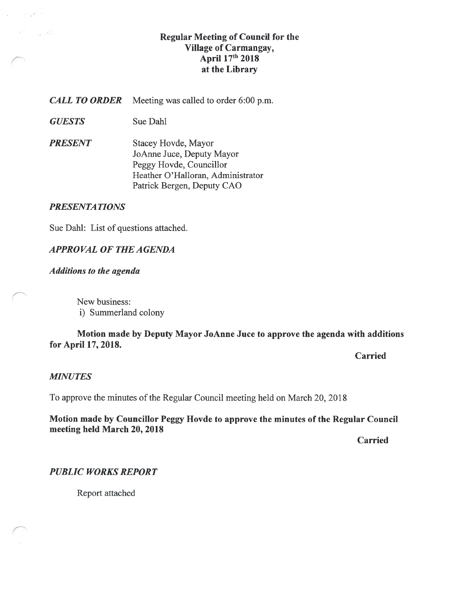# Regular Meeting of Council for the Village of Carmangay, April 17th 2018 at the Library

**CALL TO ORDER** Meeting was called to order 6:00 p.m.

- GUESTS Sue Dahl
- **PRESENT** Stacey Hovde, Mayor JoAnne Juce, Deputy Mayor Peggy Hovde, Councillor Heather O'Halloran, Administrator Patrick Bergen, Deputy CAO

## PRESENTATIONS

 $\omega_{\rm{max}} \rho_{\rm{max}}$ 

**All Council** 

Sue Dahi: List of questions attached.

# APPROVAL Of THE AGENDA

#### Additions to the agenda

New business: i) Summerland colony

## Motion made by Deputy Mayor JoAnne Juce to approve the agenda with additions for April 17, 2018.

**Carried** 

#### **MINUTES**

To approve the minutes of the Regular Council meeting held on March 20, 2018

#### Motion made by Councillor Peggy Hovde to approve the minutes of the Regular Council meeting held March 20, 2018

Carried

#### PUBLIC WORKS REPORT

Report attached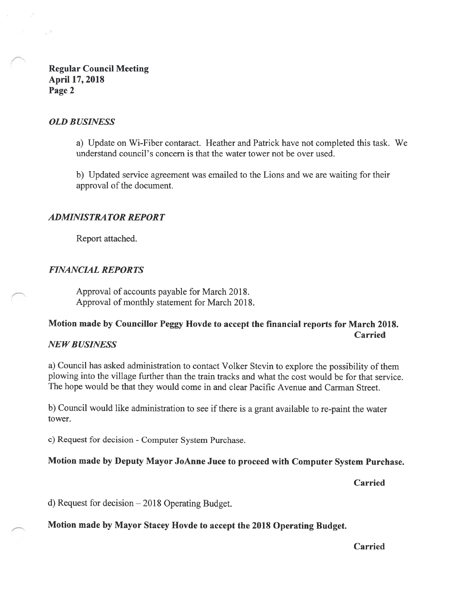Regular Council Meeting April 17, 2018 Page 2

#### OLD BUSINESS

 $\sim$ 

a) Update on Wi-Fiber contaract. Heather and Patrick have not completed this task. We understand council's concern is that the water tower not be over used.

b) Updated service agreement was emailed to the Lions and we are waiting for their approval of the document.

#### ADMINISTRATOR REPORT

Report attached.

#### FINANCIAL REPORTS

Approval of accounts payable for March 2018. Approval of monthly statement for March 2018.

# Motion made by Councillor Peggy Hovde to accept the financial reports for March 2018. Carried

#### **NEW BUSINESS**

a) Council has asked administration to contact Volker Stevin to explore the possibility of them plowing into the village further than the train tracks and what the cost would be for that service. The hope would be that they would come in and clear Pacific Avenue and Carman Street.

b) Council would like administration to see if there is a grant available to re-paint the water tower.

c) Request for decision -Computer System Purchase.

#### Motion made by Deputy Mayor JoAnne Juce to proceed with Computer System Purchase.

Carried

d) Request for decision — 2018 Operating Budget.

Motion made by Mayor Stacey Hovde to accept the 2018 Operating Budget.

Carried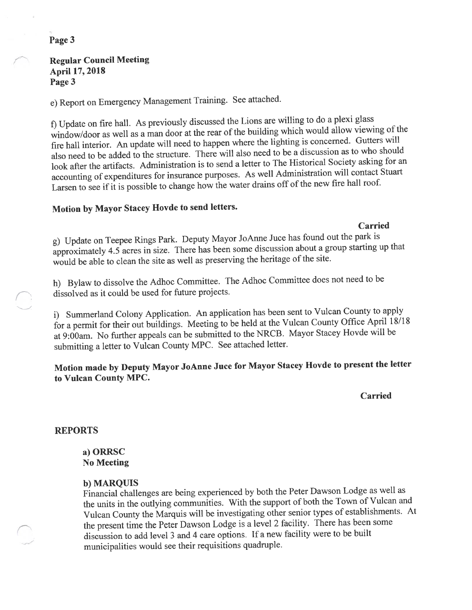#### Page 3

#### Regular Council Meeting April 17, 2018 Page 3

e) Report on Emergency Management Training. See attached.

f) Update on fire hail. As previously discussed the Lions are willing to do <sup>a</sup> <sup>p</sup>lexi <sup>g</sup>lass window/door as well as <sup>a</sup> man door at the rear of the building which would allow viewing of the fire hail interior. An update will need to happen where the lighting is concerned. Gutters will also need to be added to the structure. There will also need to be <sup>a</sup> discussion as to who should look after the artifacts. Administration is to send <sup>a</sup> letter to The Historical Society asking for an accounting of expenditures for insurance purposes. As well Administration will contact Stuart Larsen to see if it is possible to change how the water drains off of the new fire hail roof.

### Motion by Mayor Stacey Hovde to send letters.

Carried

g) Update on Teepee Rings Park. Deputy Mayor JoAnne Juce has found out the park is approximately 4.5 acres in size. There has been some discussion about <sup>a</sup> group starting up that would be able to clean the site as well as preserving the heritage of the site.

h) Bylaw to dissolve the Adhoc Committee. The Adhoc Committee does not need to be dissolved as it could be used for future projects.

i) Summerland Colony Application. An application has been sent to Vulcan County to apply for <sup>a</sup> permit for their out buildings. Meeting to be held at the Vuican County Office April 12/18 at 9:00am. No further appeals can be submitted to the NRCB. Mayor Stacey Hovde will be submitting <sup>a</sup> letter to Vulcan County MPC. See attached letter.

# Motion made by Deputy Mayor JoAnne Juce for Mayor Stacey Hovde to presen<sup>t</sup> the ]etter to Vulcan County MPC.

Carried

#### REPORTS

a) ORRSC No Meeting

#### b) MARQUIS

Financial challenges are being experienced by both the Peter Dawson Lodge as well as the units in the outlying communities. With the suppor<sup>t</sup> of both the Town of Vulcan and Vulcan County the Marquis will be investigating other senior types of establishments. At the presen<sup>t</sup> time the Peter Dawson Lodge is <sup>a</sup> level <sup>2</sup> facility. There has been some discussion to add level <sup>3</sup> and <sup>4</sup> care options. If <sup>a</sup> new facility were to be built municipalities would see their requisitions quadruple.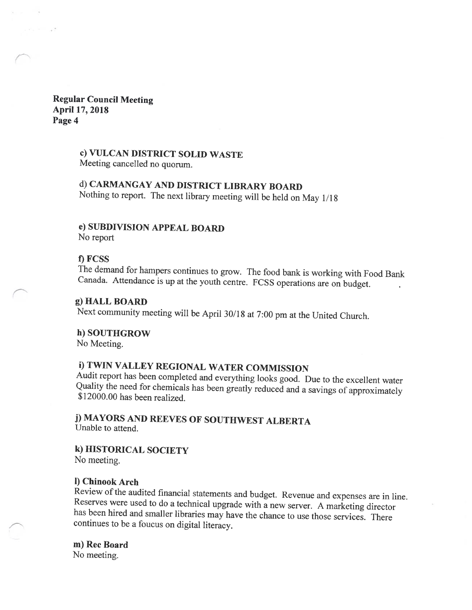#### Regular Council Meeting April 17, 2018 Page 4

## c) VULCAN DISTRICT SOLID WASTE

Meeting cancelled no quorum.

# d) CARMANGAY AND DISTRICT LIBRARY BOARD

Nothing to report. The next library meeting will be held on May 1/18

## e) SUBDIVISION APPEAL BOARD

No report

#### 1) FCSS

The demand for hampers continues to grow. The food bank is working with food Bank Canada. Attendance is up at the youth centre. FCSS operations are on budget.

#### g) HALL BOARD

Next community meeting will be April 30/18 at 7:00 pm at the United Church.

#### h) SOUTHGROW

No Meeting.

# i) TWIN VALLEY REGIONAL WATER COMMISSION

Audit report has been completed and everything looks good. Due to the excellent water Quality the need for chemicals has been greatly reduced and <sup>a</sup> savings of approximately \$12000.00 has been realized.

# j) MAYORS AND REEVES OF SOUTHWEST ALBERTA Unable to attend.

# k) HISTORICAL SOCIETY

No meeting.

#### 1) Chinook Arch

Review of the audited financial statements and budget. Revenue and expenses are in line. Reserves were used to do <sup>a</sup> technical upgrade with <sup>a</sup> new server. <sup>A</sup> marketing director has been hired and smaller libraries may have the chance to use those services. There continues to be <sup>a</sup> foucus on digital literacy.

### m) Rec Board

No meeting.